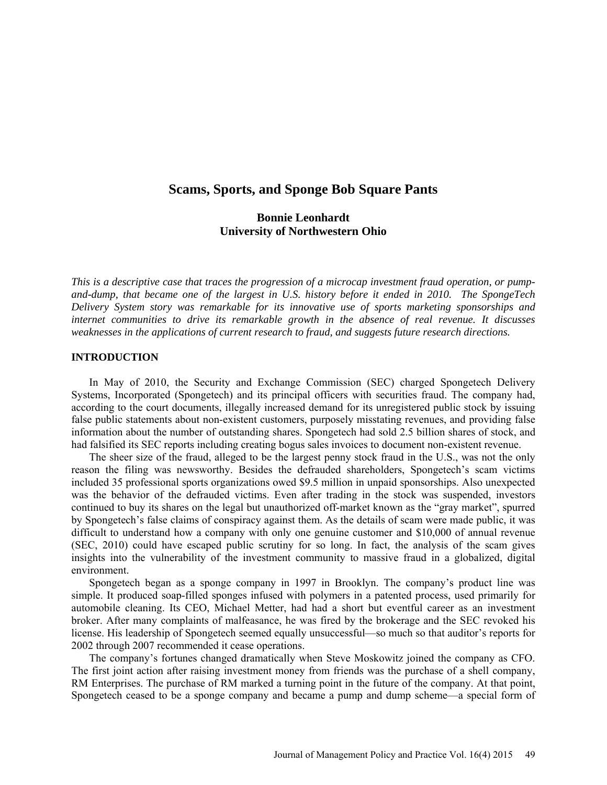# **Scams, Sports, and Sponge Bob Square Pants**

## **Bonnie Leonhardt University of Northwestern Ohio**

*This is a descriptive case that traces the progression of a microcap investment fraud operation, or pumpand-dump, that became one of the largest in U.S. history before it ended in 2010. The SpongeTech Delivery System story was remarkable for its innovative use of sports marketing sponsorships and internet communities to drive its remarkable growth in the absence of real revenue. It discusses weaknesses in the applications of current research to fraud, and suggests future research directions.*

### **INTRODUCTION**

In May of 2010, the Security and Exchange Commission (SEC) charged Spongetech Delivery Systems, Incorporated (Spongetech) and its principal officers with securities fraud. The company had, according to the court documents, illegally increased demand for its unregistered public stock by issuing false public statements about non-existent customers, purposely misstating revenues, and providing false information about the number of outstanding shares. Spongetech had sold 2.5 billion shares of stock, and had falsified its SEC reports including creating bogus sales invoices to document non-existent revenue.

The sheer size of the fraud, alleged to be the largest penny stock fraud in the U.S., was not the only reason the filing was newsworthy. Besides the defrauded shareholders, Spongetech's scam victims included 35 professional sports organizations owed \$9.5 million in unpaid sponsorships. Also unexpected was the behavior of the defrauded victims. Even after trading in the stock was suspended, investors continued to buy its shares on the legal but unauthorized off-market known as the "gray market", spurred by Spongetech's false claims of conspiracy against them. As the details of scam were made public, it was difficult to understand how a company with only one genuine customer and \$10,000 of annual revenue (SEC, 2010) could have escaped public scrutiny for so long. In fact, the analysis of the scam gives insights into the vulnerability of the investment community to massive fraud in a globalized, digital environment.

Spongetech began as a sponge company in 1997 in Brooklyn. The company's product line was simple. It produced soap-filled sponges infused with polymers in a patented process, used primarily for automobile cleaning. Its CEO, Michael Metter, had had a short but eventful career as an investment broker. After many complaints of malfeasance, he was fired by the brokerage and the SEC revoked his license. His leadership of Spongetech seemed equally unsuccessful—so much so that auditor's reports for 2002 through 2007 recommended it cease operations.

The company's fortunes changed dramatically when Steve Moskowitz joined the company as CFO. The first joint action after raising investment money from friends was the purchase of a shell company, RM Enterprises. The purchase of RM marked a turning point in the future of the company. At that point, Spongetech ceased to be a sponge company and became a pump and dump scheme—a special form of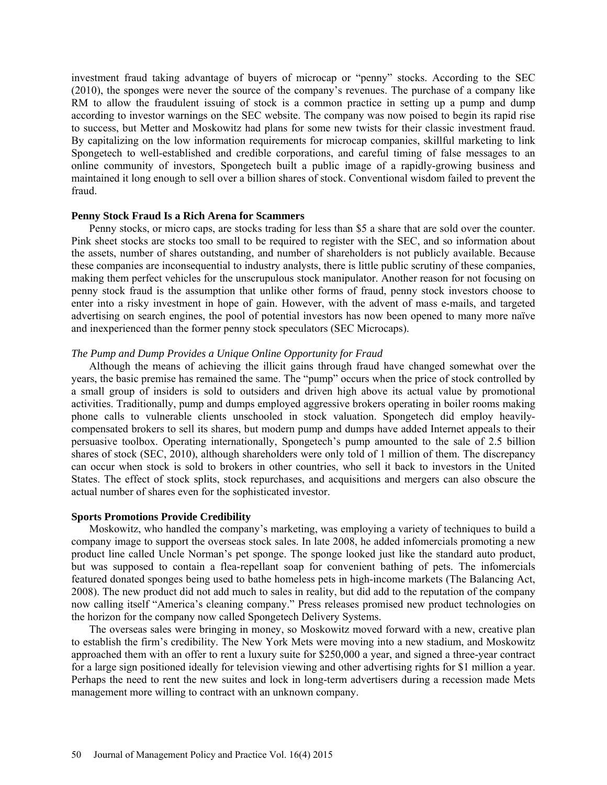investment fraud taking advantage of buyers of microcap or "penny" stocks. According to the SEC (2010), the sponges were never the source of the company's revenues. The purchase of a company like RM to allow the fraudulent issuing of stock is a common practice in setting up a pump and dump according to investor warnings on the SEC website. The company was now poised to begin its rapid rise to success, but Metter and Moskowitz had plans for some new twists for their classic investment fraud. By capitalizing on the low information requirements for microcap companies, skillful marketing to link Spongetech to well-established and credible corporations, and careful timing of false messages to an online community of investors, Spongetech built a public image of a rapidly-growing business and maintained it long enough to sell over a billion shares of stock. Conventional wisdom failed to prevent the fraud.

#### **Penny Stock Fraud Is a Rich Arena for Scammers**

Penny stocks, or micro caps, are stocks trading for less than \$5 a share that are sold over the counter. Pink sheet stocks are stocks too small to be required to register with the SEC, and so information about the assets, number of shares outstanding, and number of shareholders is not publicly available. Because these companies are inconsequential to industry analysts, there is little public scrutiny of these companies, making them perfect vehicles for the unscrupulous stock manipulator. Another reason for not focusing on penny stock fraud is the assumption that unlike other forms of fraud, penny stock investors choose to enter into a risky investment in hope of gain. However, with the advent of mass e-mails, and targeted advertising on search engines, the pool of potential investors has now been opened to many more naïve and inexperienced than the former penny stock speculators (SEC Microcaps).

## *The Pump and Dump Provides a Unique Online Opportunity for Fraud*

Although the means of achieving the illicit gains through fraud have changed somewhat over the years, the basic premise has remained the same. The "pump" occurs when the price of stock controlled by a small group of insiders is sold to outsiders and driven high above its actual value by promotional activities. Traditionally, pump and dumps employed aggressive brokers operating in boiler rooms making phone calls to vulnerable clients unschooled in stock valuation. Spongetech did employ heavilycompensated brokers to sell its shares, but modern pump and dumps have added Internet appeals to their persuasive toolbox. Operating internationally, Spongetech's pump amounted to the sale of 2.5 billion shares of stock (SEC, 2010), although shareholders were only told of 1 million of them. The discrepancy can occur when stock is sold to brokers in other countries, who sell it back to investors in the United States. The effect of stock splits, stock repurchases, and acquisitions and mergers can also obscure the actual number of shares even for the sophisticated investor.

#### **Sports Promotions Provide Credibility**

Moskowitz, who handled the company's marketing, was employing a variety of techniques to build a company image to support the overseas stock sales. In late 2008, he added infomercials promoting a new product line called Uncle Norman's pet sponge. The sponge looked just like the standard auto product, but was supposed to contain a flea-repellant soap for convenient bathing of pets. The infomercials featured donated sponges being used to bathe homeless pets in high-income markets (The Balancing Act, 2008). The new product did not add much to sales in reality, but did add to the reputation of the company now calling itself "America's cleaning company." Press releases promised new product technologies on the horizon for the company now called Spongetech Delivery Systems.

The overseas sales were bringing in money, so Moskowitz moved forward with a new, creative plan to establish the firm's credibility. The New York Mets were moving into a new stadium, and Moskowitz approached them with an offer to rent a luxury suite for \$250,000 a year, and signed a three-year contract for a large sign positioned ideally for television viewing and other advertising rights for \$1 million a year. Perhaps the need to rent the new suites and lock in long-term advertisers during a recession made Mets management more willing to contract with an unknown company.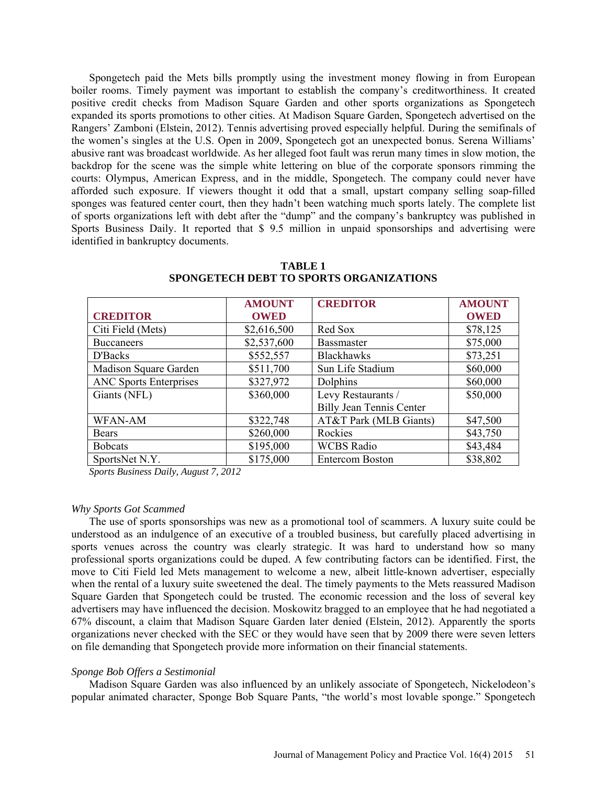Spongetech paid the Mets bills promptly using the investment money flowing in from European boiler rooms. Timely payment was important to establish the company's creditworthiness. It created positive credit checks from Madison Square Garden and other sports organizations as Spongetech expanded its sports promotions to other cities. At Madison Square Garden, Spongetech advertised on the Rangers' Zamboni (Elstein, 2012). Tennis advertising proved especially helpful. During the semifinals of the women's singles at the U.S. Open in 2009, Spongetech got an unexpected bonus. Serena Williams' abusive rant was broadcast worldwide. As her alleged foot fault was rerun many times in slow motion, the backdrop for the scene was the simple white lettering on blue of the corporate sponsors rimming the courts: Olympus, American Express, and in the middle, Spongetech. The company could never have afforded such exposure. If viewers thought it odd that a small, upstart company selling soap-filled sponges was featured center court, then they hadn't been watching much sports lately. The complete list of sports organizations left with debt after the "dump" and the company's bankruptcy was published in Sports Business Daily. It reported that \$ 9.5 million in unpaid sponsorships and advertising were identified in bankruptcy documents.

|                               | <b>AMOUNT</b> | <b>CREDITOR</b>                 | <b>AMOUNT</b> |
|-------------------------------|---------------|---------------------------------|---------------|
| <b>CREDITOR</b>               | <b>OWED</b>   |                                 | <b>OWED</b>   |
| Citi Field (Mets)             | \$2,616,500   | Red Sox                         | \$78,125      |
| <b>Buccaneers</b>             | \$2,537,600   | <b>Bassmaster</b>               | \$75,000      |
| D'Backs                       | \$552,557     | <b>Blackhawks</b>               | \$73,251      |
| Madison Square Garden         | \$511,700     | Sun Life Stadium                | \$60,000      |
| <b>ANC Sports Enterprises</b> | \$327,972     | Dolphins                        | \$60,000      |
| Giants (NFL)                  | \$360,000     | Levy Restaurants /              | \$50,000      |
|                               |               | <b>Billy Jean Tennis Center</b> |               |
| <b>WFAN-AM</b>                | \$322,748     | AT&T Park (MLB Giants)          | \$47,500      |
| Bears                         | \$260,000     | Rockies                         | \$43,750      |
| <b>Bobcats</b>                | \$195,000     | <b>WCBS Radio</b>               | \$43,484      |
| SportsNet N.Y.                | \$175,000     | <b>Entercom Boston</b>          | \$38,802      |

**TABLE 1 SPONGETECH DEBT TO SPORTS ORGANIZATIONS**

*Sports Business Daily, August 7, 2012*

### *Why Sports Got Scammed*

The use of sports sponsorships was new as a promotional tool of scammers. A luxury suite could be understood as an indulgence of an executive of a troubled business, but carefully placed advertising in sports venues across the country was clearly strategic. It was hard to understand how so many professional sports organizations could be duped. A few contributing factors can be identified. First, the move to Citi Field led Mets management to welcome a new, albeit little-known advertiser, especially when the rental of a luxury suite sweetened the deal. The timely payments to the Mets reassured Madison Square Garden that Spongetech could be trusted. The economic recession and the loss of several key advertisers may have influenced the decision. Moskowitz bragged to an employee that he had negotiated a 67% discount, a claim that Madison Square Garden later denied (Elstein, 2012). Apparently the sports organizations never checked with the SEC or they would have seen that by 2009 there were seven letters on file demanding that Spongetech provide more information on their financial statements.

#### *Sponge Bob Offers a Sestimonial*

Madison Square Garden was also influenced by an unlikely associate of Spongetech, Nickelodeon's popular animated character, Sponge Bob Square Pants, "the world's most lovable sponge." Spongetech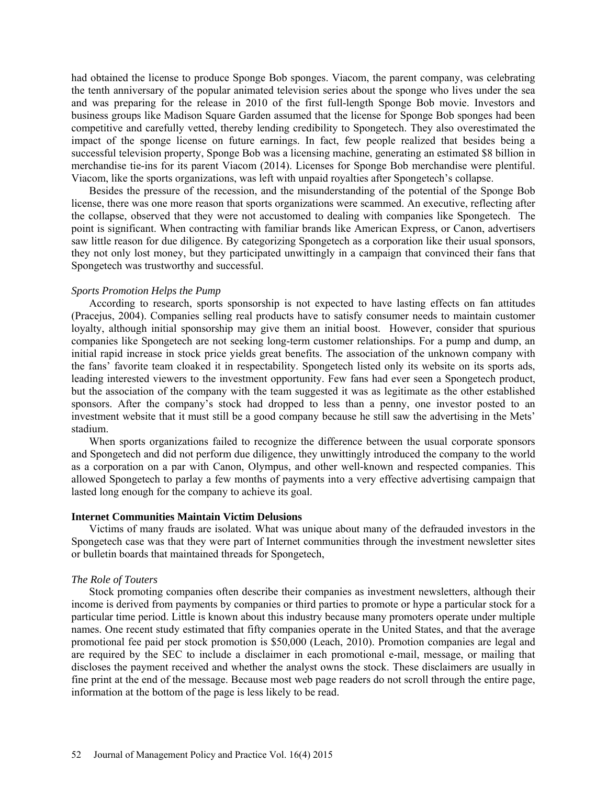had obtained the license to produce Sponge Bob sponges. Viacom, the parent company, was celebrating the tenth anniversary of the popular animated television series about the sponge who lives under the sea and was preparing for the release in 2010 of the first full-length Sponge Bob movie. Investors and business groups like Madison Square Garden assumed that the license for Sponge Bob sponges had been competitive and carefully vetted, thereby lending credibility to Spongetech. They also overestimated the impact of the sponge license on future earnings. In fact, few people realized that besides being a successful television property, Sponge Bob was a licensing machine, generating an estimated \$8 billion in merchandise tie-ins for its parent Viacom (2014). Licenses for Sponge Bob merchandise were plentiful. Viacom, like the sports organizations, was left with unpaid royalties after Spongetech's collapse.

Besides the pressure of the recession, and the misunderstanding of the potential of the Sponge Bob license, there was one more reason that sports organizations were scammed. An executive, reflecting after the collapse, observed that they were not accustomed to dealing with companies like Spongetech. The point is significant. When contracting with familiar brands like American Express, or Canon, advertisers saw little reason for due diligence. By categorizing Spongetech as a corporation like their usual sponsors, they not only lost money, but they participated unwittingly in a campaign that convinced their fans that Spongetech was trustworthy and successful.

#### *Sports Promotion Helps the Pump*

According to research, sports sponsorship is not expected to have lasting effects on fan attitudes (Pracejus, 2004). Companies selling real products have to satisfy consumer needs to maintain customer loyalty, although initial sponsorship may give them an initial boost. However, consider that spurious companies like Spongetech are not seeking long-term customer relationships. For a pump and dump, an initial rapid increase in stock price yields great benefits. The association of the unknown company with the fans' favorite team cloaked it in respectability. Spongetech listed only its website on its sports ads, leading interested viewers to the investment opportunity. Few fans had ever seen a Spongetech product, but the association of the company with the team suggested it was as legitimate as the other established sponsors. After the company's stock had dropped to less than a penny, one investor posted to an investment website that it must still be a good company because he still saw the advertising in the Mets' stadium.

When sports organizations failed to recognize the difference between the usual corporate sponsors and Spongetech and did not perform due diligence, they unwittingly introduced the company to the world as a corporation on a par with Canon, Olympus, and other well-known and respected companies. This allowed Spongetech to parlay a few months of payments into a very effective advertising campaign that lasted long enough for the company to achieve its goal.

#### **Internet Communities Maintain Victim Delusions**

Victims of many frauds are isolated. What was unique about many of the defrauded investors in the Spongetech case was that they were part of Internet communities through the investment newsletter sites or bulletin boards that maintained threads for Spongetech,

#### *The Role of Touters*

Stock promoting companies often describe their companies as investment newsletters, although their income is derived from payments by companies or third parties to promote or hype a particular stock for a particular time period. Little is known about this industry because many promoters operate under multiple names. One recent study estimated that fifty companies operate in the United States, and that the average promotional fee paid per stock promotion is \$50,000 (Leach, 2010). Promotion companies are legal and are required by the SEC to include a disclaimer in each promotional e-mail, message, or mailing that discloses the payment received and whether the analyst owns the stock. These disclaimers are usually in fine print at the end of the message. Because most web page readers do not scroll through the entire page, information at the bottom of the page is less likely to be read.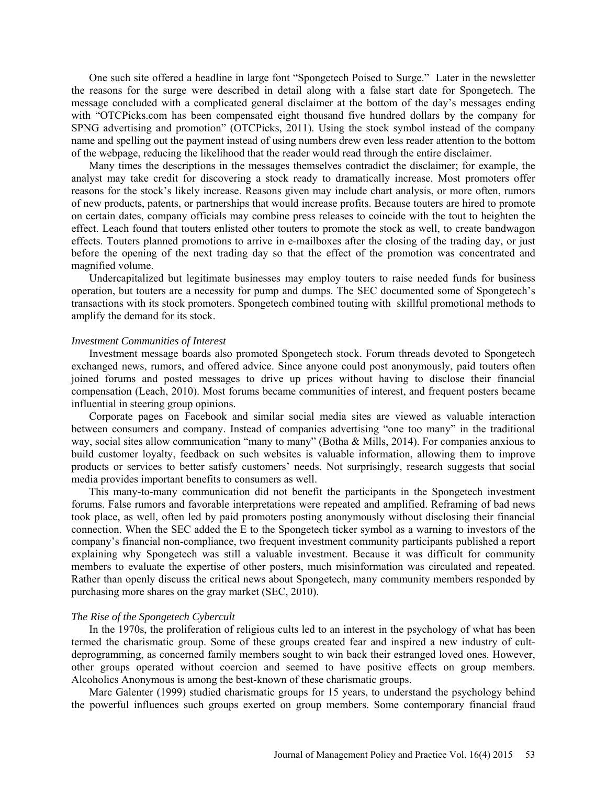One such site offered a headline in large font "Spongetech Poised to Surge." Later in the newsletter the reasons for the surge were described in detail along with a false start date for Spongetech. The message concluded with a complicated general disclaimer at the bottom of the day's messages ending with "OTCPicks.com has been compensated eight thousand five hundred dollars by the company for SPNG advertising and promotion" (OTCPicks, 2011). Using the stock symbol instead of the company name and spelling out the payment instead of using numbers drew even less reader attention to the bottom of the webpage, reducing the likelihood that the reader would read through the entire disclaimer.

Many times the descriptions in the messages themselves contradict the disclaimer; for example, the analyst may take credit for discovering a stock ready to dramatically increase. Most promoters offer reasons for the stock's likely increase. Reasons given may include chart analysis, or more often, rumors of new products, patents, or partnerships that would increase profits. Because touters are hired to promote on certain dates, company officials may combine press releases to coincide with the tout to heighten the effect. Leach found that touters enlisted other touters to promote the stock as well, to create bandwagon effects. Touters planned promotions to arrive in e-mailboxes after the closing of the trading day, or just before the opening of the next trading day so that the effect of the promotion was concentrated and magnified volume.

Undercapitalized but legitimate businesses may employ touters to raise needed funds for business operation, but touters are a necessity for pump and dumps. The SEC documented some of Spongetech's transactions with its stock promoters. Spongetech combined touting with skillful promotional methods to amplify the demand for its stock.

#### *Investment Communities of Interest*

Investment message boards also promoted Spongetech stock. Forum threads devoted to Spongetech exchanged news, rumors, and offered advice. Since anyone could post anonymously, paid touters often joined forums and posted messages to drive up prices without having to disclose their financial compensation (Leach, 2010). Most forums became communities of interest, and frequent posters became influential in steering group opinions.

Corporate pages on Facebook and similar social media sites are viewed as valuable interaction between consumers and company. Instead of companies advertising "one too many" in the traditional way, social sites allow communication "many to many" (Botha & Mills, 2014). For companies anxious to build customer loyalty, feedback on such websites is valuable information, allowing them to improve products or services to better satisfy customers' needs. Not surprisingly, research suggests that social media provides important benefits to consumers as well.

This many-to-many communication did not benefit the participants in the Spongetech investment forums. False rumors and favorable interpretations were repeated and amplified. Reframing of bad news took place, as well, often led by paid promoters posting anonymously without disclosing their financial connection. When the SEC added the E to the Spongetech ticker symbol as a warning to investors of the company's financial non-compliance, two frequent investment community participants published a report explaining why Spongetech was still a valuable investment. Because it was difficult for community members to evaluate the expertise of other posters, much misinformation was circulated and repeated. Rather than openly discuss the critical news about Spongetech, many community members responded by purchasing more shares on the gray market (SEC, 2010).

#### *The Rise of the Spongetech Cybercult*

In the 1970s, the proliferation of religious cults led to an interest in the psychology of what has been termed the charismatic group. Some of these groups created fear and inspired a new industry of cultdeprogramming, as concerned family members sought to win back their estranged loved ones. However, other groups operated without coercion and seemed to have positive effects on group members. Alcoholics Anonymous is among the best-known of these charismatic groups.

Marc Galenter (1999) studied charismatic groups for 15 years, to understand the psychology behind the powerful influences such groups exerted on group members. Some contemporary financial fraud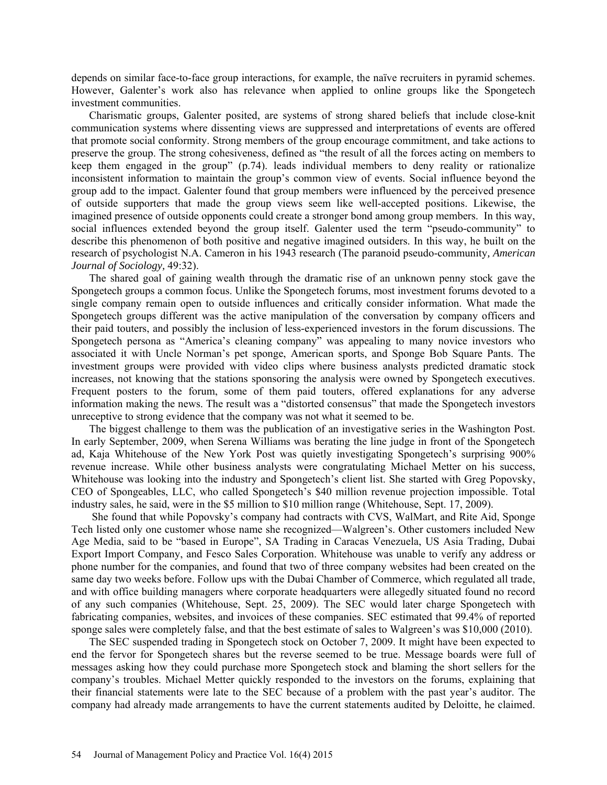depends on similar face-to-face group interactions, for example, the naïve recruiters in pyramid schemes. However, Galenter's work also has relevance when applied to online groups like the Spongetech investment communities.

Charismatic groups, Galenter posited, are systems of strong shared beliefs that include close-knit communication systems where dissenting views are suppressed and interpretations of events are offered that promote social conformity. Strong members of the group encourage commitment, and take actions to preserve the group. The strong cohesiveness, defined as "the result of all the forces acting on members to keep them engaged in the group" (p.74). leads individual members to deny reality or rationalize inconsistent information to maintain the group's common view of events. Social influence beyond the group add to the impact. Galenter found that group members were influenced by the perceived presence of outside supporters that made the group views seem like well-accepted positions. Likewise, the imagined presence of outside opponents could create a stronger bond among group members. In this way, social influences extended beyond the group itself. Galenter used the term "pseudo-community" to describe this phenomenon of both positive and negative imagined outsiders. In this way, he built on the research of psychologist N.A. Cameron in his 1943 research (The paranoid pseudo-community*, American Journal of Sociology,* 49:32).

The shared goal of gaining wealth through the dramatic rise of an unknown penny stock gave the Spongetech groups a common focus. Unlike the Spongetech forums, most investment forums devoted to a single company remain open to outside influences and critically consider information. What made the Spongetech groups different was the active manipulation of the conversation by company officers and their paid touters, and possibly the inclusion of less-experienced investors in the forum discussions. The Spongetech persona as "America's cleaning company" was appealing to many novice investors who associated it with Uncle Norman's pet sponge, American sports, and Sponge Bob Square Pants. The investment groups were provided with video clips where business analysts predicted dramatic stock increases, not knowing that the stations sponsoring the analysis were owned by Spongetech executives. Frequent posters to the forum, some of them paid touters, offered explanations for any adverse information making the news. The result was a "distorted consensus" that made the Spongetech investors unreceptive to strong evidence that the company was not what it seemed to be.

The biggest challenge to them was the publication of an investigative series in the Washington Post. In early September, 2009, when Serena Williams was berating the line judge in front of the Spongetech ad, Kaja Whitehouse of the New York Post was quietly investigating Spongetech's surprising 900% revenue increase. While other business analysts were congratulating Michael Metter on his success, Whitehouse was looking into the industry and Spongetech's client list. She started with Greg Popovsky, CEO of Spongeables, LLC, who called Spongetech's \$40 million revenue projection impossible. Total industry sales, he said, were in the \$5 million to \$10 million range (Whitehouse, Sept. 17, 2009).

She found that while Popovsky's company had contracts with CVS, WalMart, and Rite Aid, Sponge Tech listed only one customer whose name she recognized—Walgreen's. Other customers included New Age Media, said to be "based in Europe", SA Trading in Caracas Venezuela, US Asia Trading, Dubai Export Import Company, and Fesco Sales Corporation. Whitehouse was unable to verify any address or phone number for the companies, and found that two of three company websites had been created on the same day two weeks before. Follow ups with the Dubai Chamber of Commerce, which regulated all trade, and with office building managers where corporate headquarters were allegedly situated found no record of any such companies (Whitehouse, Sept. 25, 2009). The SEC would later charge Spongetech with fabricating companies, websites, and invoices of these companies. SEC estimated that 99.4% of reported sponge sales were completely false, and that the best estimate of sales to Walgreen's was \$10,000 (2010).

The SEC suspended trading in Spongetech stock on October 7, 2009. It might have been expected to end the fervor for Spongetech shares but the reverse seemed to be true. Message boards were full of messages asking how they could purchase more Spongetech stock and blaming the short sellers for the company's troubles. Michael Metter quickly responded to the investors on the forums, explaining that their financial statements were late to the SEC because of a problem with the past year's auditor. The company had already made arrangements to have the current statements audited by Deloitte, he claimed.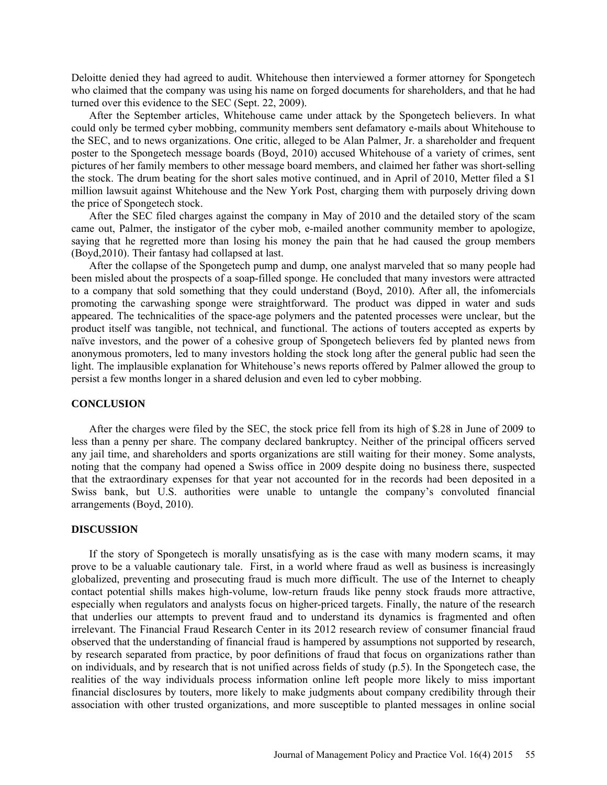Deloitte denied they had agreed to audit. Whitehouse then interviewed a former attorney for Spongetech who claimed that the company was using his name on forged documents for shareholders, and that he had turned over this evidence to the SEC (Sept. 22, 2009).

After the September articles, Whitehouse came under attack by the Spongetech believers. In what could only be termed cyber mobbing, community members sent defamatory e-mails about Whitehouse to the SEC, and to news organizations. One critic, alleged to be Alan Palmer, Jr. a shareholder and frequent poster to the Spongetech message boards (Boyd, 2010) accused Whitehouse of a variety of crimes, sent pictures of her family members to other message board members, and claimed her father was short-selling the stock. The drum beating for the short sales motive continued, and in April of 2010, Metter filed a \$1 million lawsuit against Whitehouse and the New York Post, charging them with purposely driving down the price of Spongetech stock.

After the SEC filed charges against the company in May of 2010 and the detailed story of the scam came out, Palmer, the instigator of the cyber mob, e-mailed another community member to apologize, saying that he regretted more than losing his money the pain that he had caused the group members (Boyd,2010). Their fantasy had collapsed at last.

After the collapse of the Spongetech pump and dump, one analyst marveled that so many people had been misled about the prospects of a soap-filled sponge. He concluded that many investors were attracted to a company that sold something that they could understand (Boyd, 2010). After all, the infomercials promoting the carwashing sponge were straightforward. The product was dipped in water and suds appeared. The technicalities of the space-age polymers and the patented processes were unclear, but the product itself was tangible, not technical, and functional. The actions of touters accepted as experts by naïve investors, and the power of a cohesive group of Spongetech believers fed by planted news from anonymous promoters, led to many investors holding the stock long after the general public had seen the light. The implausible explanation for Whitehouse's news reports offered by Palmer allowed the group to persist a few months longer in a shared delusion and even led to cyber mobbing.

## **CONCLUSION**

After the charges were filed by the SEC, the stock price fell from its high of \$.28 in June of 2009 to less than a penny per share. The company declared bankruptcy. Neither of the principal officers served any jail time, and shareholders and sports organizations are still waiting for their money. Some analysts, noting that the company had opened a Swiss office in 2009 despite doing no business there, suspected that the extraordinary expenses for that year not accounted for in the records had been deposited in a Swiss bank, but U.S. authorities were unable to untangle the company's convoluted financial arrangements (Boyd, 2010).

## **DISCUSSION**

If the story of Spongetech is morally unsatisfying as is the case with many modern scams, it may prove to be a valuable cautionary tale. First, in a world where fraud as well as business is increasingly globalized, preventing and prosecuting fraud is much more difficult. The use of the Internet to cheaply contact potential shills makes high-volume, low-return frauds like penny stock frauds more attractive, especially when regulators and analysts focus on higher-priced targets. Finally, the nature of the research that underlies our attempts to prevent fraud and to understand its dynamics is fragmented and often irrelevant. The Financial Fraud Research Center in its 2012 research review of consumer financial fraud observed that the understanding of financial fraud is hampered by assumptions not supported by research, by research separated from practice, by poor definitions of fraud that focus on organizations rather than on individuals, and by research that is not unified across fields of study (p.5). In the Spongetech case, the realities of the way individuals process information online left people more likely to miss important financial disclosures by touters, more likely to make judgments about company credibility through their association with other trusted organizations, and more susceptible to planted messages in online social